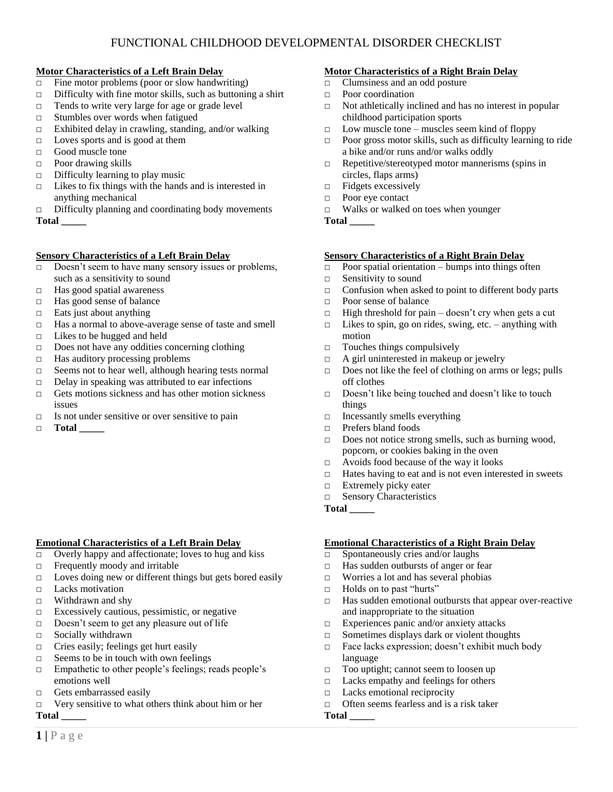# **Motor Characteristics of a Left Brain Delay**

- □ Fine motor problems (poor or slow handwriting)
- □ Difficulty with fine motor skills, such as buttoning a shirt
- $\Box$  Tends to write very large for age or grade level
- $\Box$  Stumbles over words when fatigued
- $\Box$  Exhibited delay in crawling, standing, and/or walking
- $\Box$  Loves sports and is good at them
- □ Good muscle tone
- □ Poor drawing skills
- $\Box$  Difficulty learning to play music
- $\Box$  Likes to fix things with the hands and is interested in anything mechanical
- $\Box$  Difficulty planning and coordinating body movements **Total \_\_\_\_\_**

# **Sensory Characteristics of a Left Brain Delay**

- □ Doesn't seem to have many sensory issues or problems, such as a sensitivity to sound
- □ Has good spatial awareness
- □ Has good sense of balance
- □ Eats just about anything
- □ Has a normal to above-average sense of taste and smell
- □ Likes to be hugged and held
- □ Does not have any oddities concerning clothing
- □ Has auditory processing problems
- $\Box$  Seems not to hear well, although hearing tests normal
- $\Box$  Delay in speaking was attributed to ear infections
- $\Box$  Gets motions sickness and has other motion sickness issues
- $\Box$  Is not under sensitive or over sensitive to pain
- □ **Total**

# **Emotional Characteristics of a Left Brain Delay**

- $\Box$  Overly happy and affectionate; loves to hug and kiss
- □ Frequently moody and irritable
- □ Loves doing new or different things but gets bored easily
- $\Box$  Lacks motivation
- □ Withdrawn and shy
- □ Excessively cautious, pessimistic, or negative
- □ Doesn't seem to get any pleasure out of life
- □ Socially withdrawn
- □ Cries easily; feelings get hurt easily
- $\Box$  Seems to be in touch with own feelings
- □ Empathetic to other people's feelings; reads people's emotions well
- □ Gets embarrassed easily
- □ Very sensitive to what others think about him or her **Total \_\_\_\_\_**

# **Motor Characteristics of a Right Brain Delay**

- □ Clumsiness and an odd posture
- □ Poor coordination
- □ Not athletically inclined and has no interest in popular childhood participation sports
- $\Box$  Low muscle tone muscles seem kind of floppy
- □ Poor gross motor skills, such as difficulty learning to ride a bike and/or runs and/or walks oddly
- □ Repetitive/stereotyped motor mannerisms (spins in circles, flaps arms)
- □ Fidgets excessively
- □ Poor eye contact
- □ Walks or walked on toes when younger

**Total \_\_\_\_\_**

# **Sensory Characteristics of a Right Brain Delay**

- $\Box$  Poor spatial orientation bumps into things often
- □ Sensitivity to sound
- $\Box$  Confusion when asked to point to different body parts
- □ Poor sense of balance
- $\Box$  High threshold for pain doesn't cry when gets a cut
- $\Box$  Likes to spin, go on rides, swing, etc. anything with
- motion
- $\Box$  Touches things compulsively
- $\Box$  A girl uninterested in makeup or jewelry
- □ Does not like the feel of clothing on arms or legs; pulls off clothes
- □ Doesn't like being touched and doesn't like to touch things
- □ Incessantly smells everything
- □ Prefers bland foods
- □ Does not notice strong smells, such as burning wood, popcorn, or cookies baking in the oven
- $\Box$  Avoids food because of the way it looks
- □ Hates having to eat and is not even interested in sweets
- □ Extremely picky eater
- □ Sensory Characteristics
- **Total \_\_\_\_\_**

# **Emotional Characteristics of a Right Brain Delay**

- $\Box$  Spontaneously cries and/or laughs
- □ Has sudden outbursts of anger or fear
- □ Worries a lot and has several phobias
- □ Holds on to past "hurts"
- □ Has sudden emotional outbursts that appear over-reactive and inappropriate to the situation
- □ Experiences panic and/or anxiety attacks
- $\Box$  Sometimes displays dark or violent thoughts
- $\Box$  Face lacks expression; doesn't exhibit much body language
- □ Too uptight; cannot seem to loosen up
- □ Lacks empathy and feelings for others
- □ Lacks emotional reciprocity
- □ Often seems fearless and is a risk taker

**Total \_\_\_\_\_**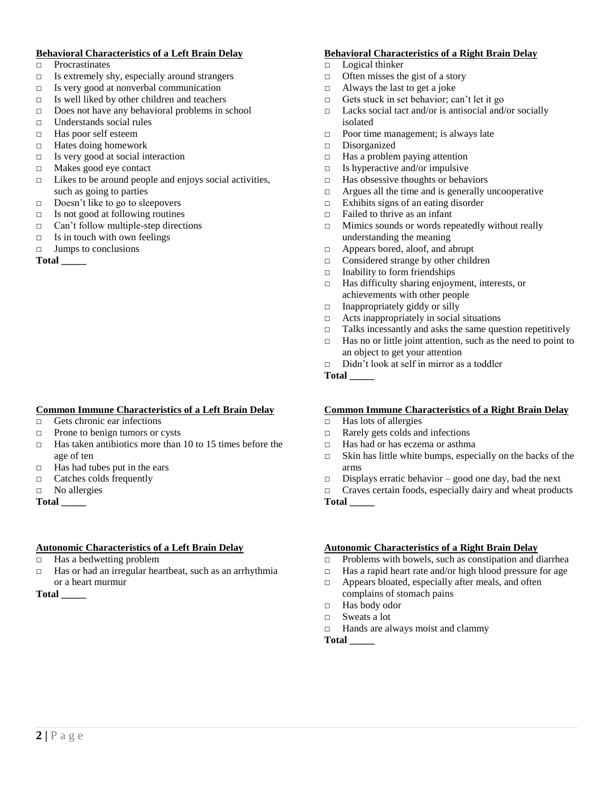## **Behavioral Characteristics of a Left Brain Delay**

- □ Procrastinates
- $\Box$  Is extremely shy, especially around strangers
- $\Box$  Is very good at nonverbal communication
- □ Is well liked by other children and teachers
- □ Does not have any behavioral problems in school
- □ Understands social rules
- □ Has poor self esteem
- □ Hates doing homework
- $\Box$  Is very good at social interaction
- □ Makes good eye contact
- $\Box$  Likes to be around people and enjoys social activities, such as going to parties
- □ Doesn't like to go to sleepovers
- $\Box$  Is not good at following routines
- □ Can't follow multiple-step directions
- $\Box$  Is in touch with own feelings
- $\Box$  Jumps to conclusions

#### **Total \_\_\_\_\_**

# **Common Immune Characteristics of a Left Brain Delay**

- □ Gets chronic ear infections
- □ Prone to benign tumors or cysts
- $\Box$  Has taken antibiotics more than 10 to 15 times before the age of ten
- $\Box$  Has had tubes put in the ears
- □ Catches colds frequently
- □ No allergies

**Total \_\_\_\_\_**

## **Autonomic Characteristics of a Left Brain Delay**

- □ Has a bedwetting problem
- $\Box$  Has or had an irregular heartbeat, such as an arrhythmia or a heart murmur

**Total \_\_\_\_\_**

## **Behavioral Characteristics of a Right Brain Delay**

- □ Logical thinker
- $\Box$  Often misses the gist of a story
- $\Box$  Always the last to get a joke
- □ Gets stuck in set behavior; can't let it go
- $\Box$  Lacks social tact and/or is antisocial and/or socially isolated
- □ Poor time management; is always late
- □ Disorganized
- $\Box$  Has a problem paying attention
- $\Box$  Is hyperactive and/or impulsive
- $\Box$  Has obsessive thoughts or behaviors
- $\Box$  Argues all the time and is generally uncooperative
- □ Exhibits signs of an eating disorder
- $\Box$  Failed to thrive as an infant
- $\Box$  Mimics sounds or words repeatedly without really understanding the meaning
- □ Appears bored, aloof, and abrupt
- □ Considered strange by other children
- $\Box$  Inability to form friendships
- □ Has difficulty sharing enjoyment, interests, or achievements with other people
- $\Box$  Inappropriately giddy or silly
- □ Acts inappropriately in social situations
- $\Box$  Talks incessantly and asks the same question repetitively
- □ Has no or little joint attention, such as the need to point to an object to get your attention
- □ Didn't look at self in mirror as a toddler

**Total \_\_\_\_\_**

## **Common Immune Characteristics of a Right Brain Delay**

- □ Has lots of allergies
- $\Box$  Rarely gets colds and infections
- □ Has had or has eczema or asthma
- □ Skin has little white bumps, especially on the backs of the arms
- □ Displays erratic behavior good one day, bad the next

□ Craves certain foods, especially dairy and wheat products **Total \_\_\_\_\_**

## **Autonomic Characteristics of a Right Brain Delay**

- □ Problems with bowels, such as constipation and diarrhea
- □ Has a rapid heart rate and/or high blood pressure for age
- □ Appears bloated, especially after meals, and often complains of stomach pains
- □ Has body odor
- □ Sweats a lot
- $\Box$  Hands are always moist and clammy

**Total \_\_\_\_\_**